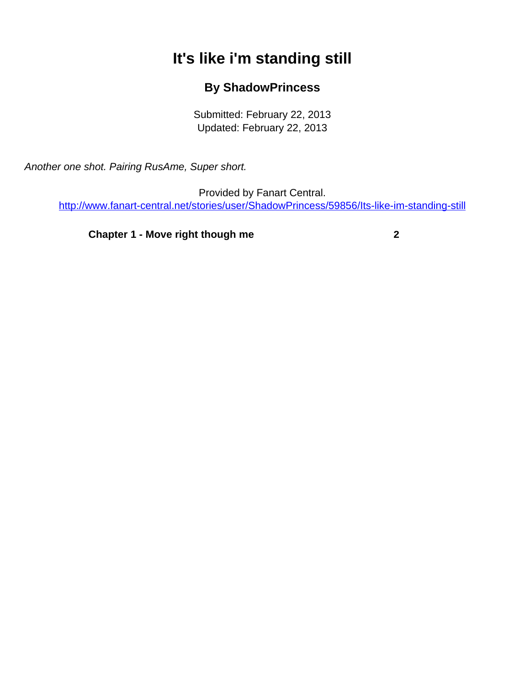## **It's like i'm standing still**

## **By ShadowPrincess**

Submitted: February 22, 2013 Updated: February 22, 2013

<span id="page-0-0"></span>Another one shot. Pairing RusAme, Super short.

Provided by Fanart Central. [http://www.fanart-central.net/stories/user/ShadowPrincess/59856/Its-like-im-standing-still](#page-0-0)

**[Chapter 1 - Move right though me](#page-1-0) [2](#page-1-0)**